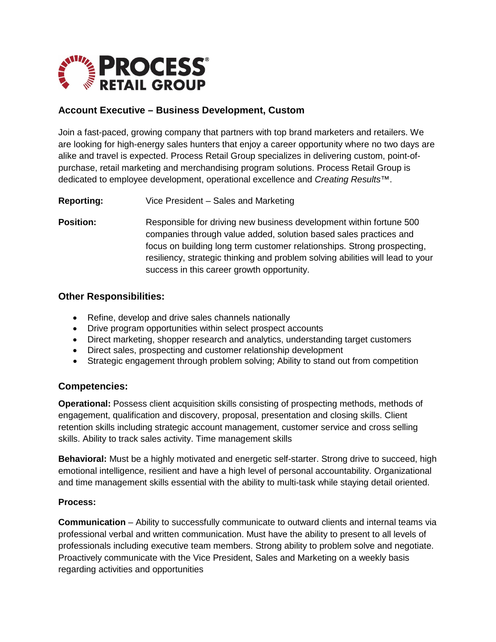

# **Account Executive – Business Development, Custom**

Join a fast-paced, growing company that partners with top brand marketers and retailers. We are looking for high-energy sales hunters that enjoy a career opportunity where no two days are alike and travel is expected. Process Retail Group specializes in delivering custom, point-ofpurchase, retail marketing and merchandising program solutions. Process Retail Group is dedicated to employee development, operational excellence and *Creating Results*™.

**Reporting:** Vice President – Sales and Marketing

**Position:** Responsible for driving new business development within fortune 500 companies through value added, solution based sales practices and focus on building long term customer relationships. Strong prospecting, resiliency, strategic thinking and problem solving abilities will lead to your success in this career growth opportunity.

### **Other Responsibilities:**

- Refine, develop and drive sales channels nationally
- Drive program opportunities within select prospect accounts
- Direct marketing, shopper research and analytics, understanding target customers
- Direct sales, prospecting and customer relationship development
- Strategic engagement through problem solving; Ability to stand out from competition

### **Competencies:**

**Operational:** Possess client acquisition skills consisting of prospecting methods, methods of engagement, qualification and discovery, proposal, presentation and closing skills. Client retention skills including strategic account management, customer service and cross selling skills. Ability to track sales activity. Time management skills

**Behavioral:** Must be a highly motivated and energetic self-starter. Strong drive to succeed, high emotional intelligence, resilient and have a high level of personal accountability. Organizational and time management skills essential with the ability to multi-task while staying detail oriented.

#### **Process:**

**Communication** – Ability to successfully communicate to outward clients and internal teams via professional verbal and written communication. Must have the ability to present to all levels of professionals including executive team members. Strong ability to problem solve and negotiate. Proactively communicate with the Vice President, Sales and Marketing on a weekly basis regarding activities and opportunities